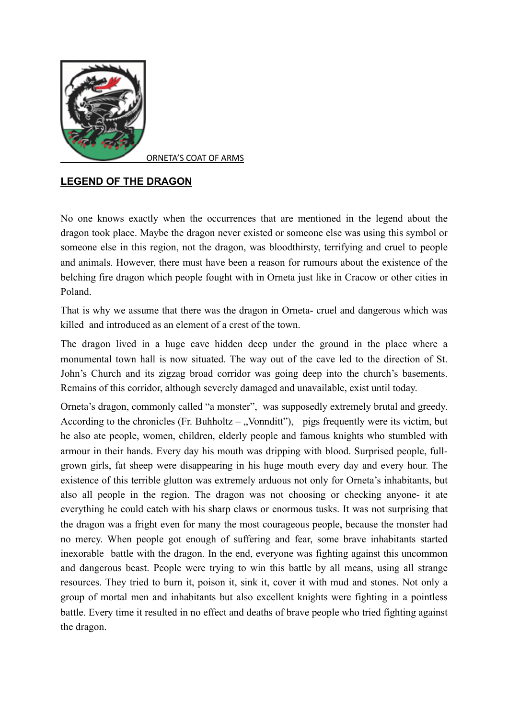

ORNETA'S COAT OF ARMS

## **LEGEND OF THE DRAGON**

No one knows exactly when the occurrences that are mentioned in the legend about the dragon took place. Maybe the dragon never existed or someone else was using this symbol or someone else in this region, not the dragon, was bloodthirsty, terrifying and cruel to people and animals. However, there must have been a reason for rumours about the existence of the belching fire dragon which people fought with in Orneta just like in Cracow or other cities in Poland.

That is why we assume that there was the dragon in Orneta- cruel and dangerous which was killed and introduced as an element of a crest of the town.

The dragon lived in a huge cave hidden deep under the ground in the place where a monumental town hall is now situated. The way out of the cave led to the direction of St. John's Church and its zigzag broad corridor was going deep into the church's basements. Remains of this corridor, although severely damaged and unavailable, exist until today.

Orneta's dragon, commonly called "a monster", was supposedly extremely brutal and greedy. According to the chronicles (Fr. Buhholtz – "Vonnditt"), pigs frequently were its victim, but he also ate people, women, children, elderly people and famous knights who stumbled with armour in their hands. Every day his mouth was dripping with blood. Surprised people, fullgrown girls, fat sheep were disappearing in his huge mouth every day and every hour. The existence of this terrible glutton was extremely arduous not only for Orneta's inhabitants, but also all people in the region. The dragon was not choosing or checking anyone- it ate everything he could catch with his sharp claws or enormous tusks. It was not surprising that the dragon was a fright even for many the most courageous people, because the monster had no mercy. When people got enough of suffering and fear, some brave inhabitants started inexorable battle with the dragon. In the end, everyone was fighting against this uncommon and dangerous beast. People were trying to win this battle by all means, using all strange resources. They tried to burn it, poison it, sink it, cover it with mud and stones. Not only a group of mortal men and inhabitants but also excellent knights were fighting in a pointless battle. Every time it resulted in no effect and deaths of brave people who tried fighting against the dragon.